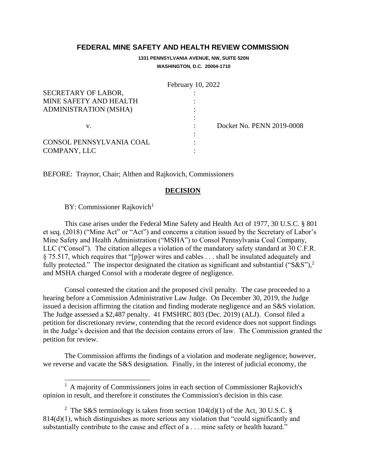## **FEDERAL MINE SAFETY AND HEALTH REVIEW COMMISSION**

**1331 PENNSYLVANIA AVENUE, NW, SUITE 520N WASHINGTON, D.C. 20004-1710**

|                              | February 10, 2022         |
|------------------------------|---------------------------|
| SECRETARY OF LABOR,          |                           |
| MINE SAFETY AND HEALTH       |                           |
| <b>ADMINISTRATION (MSHA)</b> |                           |
|                              |                           |
| V.                           | Docket No. PENN 2019-0008 |
|                              |                           |
| CONSOL PENNSYLVANIA COAL     |                           |
| COMPANY, LLC                 |                           |

BEFORE: Traynor, Chair; Althen and Rajkovich, Commissioners

## **DECISION**

BY: Commissioner Rajkovich<sup>1</sup>

This case arises under the Federal Mine Safety and Health Act of 1977, 30 U.S.C. § 801 et seq. (2018) ("Mine Act" or "Act") and concerns a citation issued by the Secretary of Labor's Mine Safety and Health Administration ("MSHA") to Consol Pennsylvania Coal Company, LLC ("Consol"). The citation alleges a violation of the mandatory safety standard at 30 C.F.R. § 75.517, which requires that "[p]ower wires and cables . . . shall be insulated adequately and fully protected." The inspector designated the citation as significant and substantial ("S&S"),<sup>2</sup> and MSHA charged Consol with a moderate degree of negligence.

Consol contested the citation and the proposed civil penalty. The case proceeded to a hearing before a Commission Administrative Law Judge. On December 30, 2019, the Judge issued a decision affirming the citation and finding moderate negligence and an S&S violation. The Judge assessed a \$2,487 penalty. 41 FMSHRC 803 (Dec. 2019) (ALJ). Consol filed a petition for discretionary review, contending that the record evidence does not support findings in the Judge's decision and that the decision contains errors of law. The Commission granted the petition for review.

The Commission affirms the findings of a violation and moderate negligence; however, we reverse and vacate the S&S designation. Finally, in the interest of judicial economy, the

<sup>&</sup>lt;sup>1</sup> A majority of Commissioners joins in each section of Commissioner Rajkovich's opinion in result, and therefore it constitutes the Commission's decision in this case.

<sup>&</sup>lt;sup>2</sup> The S&S terminology is taken from section  $104(d)(1)$  of the Act, 30 U.S.C. § 814(d)(1), which distinguishes as more serious any violation that "could significantly and substantially contribute to the cause and effect of a . . . mine safety or health hazard."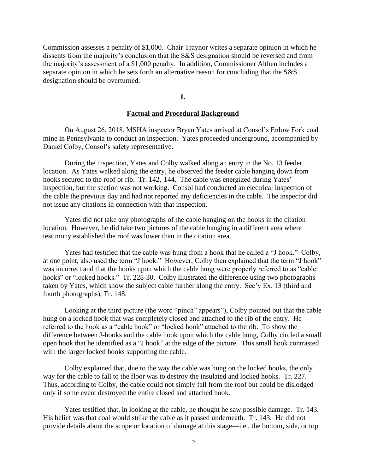Commission assesses a penalty of \$1,000. Chair Traynor writes a separate opinion in which he dissents from the majority's conclusion that the S&S designation should be reversed and from the majority's assessment of a \$1,000 penalty. In addition, Commissioner Althen includes a separate opinion in which he sets forth an alternative reason for concluding that the S&S designation should be overturned.

## **I.**

#### **Factual and Procedural Background**

On August 26, 2018, MSHA inspector Bryan Yates arrived at Consol's Enlow Fork coal mine in Pennsylvania to conduct an inspection. Yates proceeded underground, accompanied by Daniel Colby, Consol's safety representative.

During the inspection, Yates and Colby walked along an entry in the No. 13 feeder location. As Yates walked along the entry, he observed the feeder cable hanging down from hooks secured to the roof or rib. Tr. 142, 144. The cable was energized during Yates' inspection, but the section was not working. Consol had conducted an electrical inspection of the cable the previous day and had not reported any deficiencies in the cable. The inspector did not issue any citations in connection with that inspection.

Yates did not take any photographs of the cable hanging on the hooks in the citation location. However, he did take two pictures of the cable hanging in a different area where testimony established the roof was lower than in the citation area.

Yates had testified that the cable was hung from a hook that he called a "J hook." Colby, at one point, also used the term "J hook." However, Colby then explained that the term "J hook" was incorrect and that the hooks upon which the cable hung were properly referred to as "cable hooks" or "locked hooks." Tr. 228-30. Colby illustrated the difference using two photographs taken by Yates, which show the subject cable further along the entry. Sec'y Ex. 13 (third and fourth photographs), Tr. 148.

Looking at the third picture (the word "pinch" appears"), Colby pointed out that the cable hung on a locked hook that was completely closed and attached to the rib of the entry. He referred to the hook as a "cable hook" or "locked hook" attached to the rib. To show the difference between J-hooks and the cable hook upon which the cable hung, Colby circled a small open hook that he identified as a "J hook" at the edge of the picture. This small hook contrasted with the larger locked hooks supporting the cable.

Colby explained that, due to the way the cable was hung on the locked hooks, the only way for the cable to fall to the floor was to destroy the insulated and locked hooks. Tr. 227. Thus, according to Colby, the cable could not simply fall from the roof but could be dislodged only if some event destroyed the entire closed and attached hook.

Yates testified that, in looking at the cable, he thought he saw possible damage. Tr. 143. His belief was that coal would strike the cable as it passed underneath. Tr. 143. He did not provide details about the scope or location of damage at this stage—i.e., the bottom, side, or top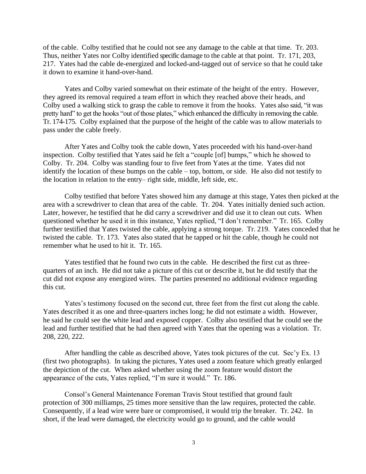of the cable. Colby testified that he could not see any damage to the cable at that time. Tr. 203. Thus, neither Yates nor Colby identified specific damage to the cable at that point. Tr. 171, 203, 217. Yates had the cable de-energized and locked-and-tagged out of service so that he could take it down to examine it hand-over-hand.

Yates and Colby varied somewhat on their estimate of the height of the entry. However, they agreed its removal required a team effort in which they reached above their heads, and Colby used a walking stick to grasp the cable to remove it from the hooks. Yates also said, "it was pretty hard" to get the hooks "out of those plates," which enhanced the difficulty in removing the cable. Tr. 174-175. Colby explained that the purpose of the height of the cable was to allow materials to pass under the cable freely.

After Yates and Colby took the cable down, Yates proceeded with his hand-over-hand inspection. Colby testified that Yates said he felt a "couple [of] bumps," which he showed to Colby. Tr. 204. Colby was standing four to five feet from Yates at the time. Yates did not identify the location of these bumps on the cable – top, bottom, or side. He also did not testify to the location in relation to the entry– right side, middle, left side, etc.

Colby testified that before Yates showed him any damage at this stage, Yates then picked at the area with a screwdriver to clean that area of the cable. Tr. 204. Yates initially denied such action. Later, however, he testified that he did carry a screwdriver and did use it to clean out cuts. When questioned whether he used it in this instance, Yates replied, "I don't remember." Tr. 165. Colby further testified that Yates twisted the cable, applying a strong torque. Tr. 219. Yates conceded that he twisted the cable. Tr. 173. Yates also stated that he tapped or hit the cable, though he could not remember what he used to hit it. Tr. 165.

Yates testified that he found two cuts in the cable. He described the first cut as threequarters of an inch. He did not take a picture of this cut or describe it, but he did testify that the cut did not expose any energized wires. The parties presented no additional evidence regarding this cut.

Yates's testimony focused on the second cut, three feet from the first cut along the cable. Yates described it as one and three-quarters inches long; he did not estimate a width. However, he said he could see the white lead and exposed copper. Colby also testified that he could see the lead and further testified that he had then agreed with Yates that the opening was a violation. Tr. 208, 220, 222.

After handling the cable as described above, Yates took pictures of the cut. Sec'y Ex. 13 (first two photographs). In taking the pictures, Yates used a zoom feature which greatly enlarged the depiction of the cut. When asked whether using the zoom feature would distort the appearance of the cuts, Yates replied, "I'm sure it would." Tr. 186.

Consol's General Maintenance Foreman Travis Stout testified that ground fault protection of 300 milliamps, 25 times more sensitive than the law requires, protected the cable. Consequently, if a lead wire were bare or compromised, it would trip the breaker. Tr. 242. In short, if the lead were damaged, the electricity would go to ground, and the cable would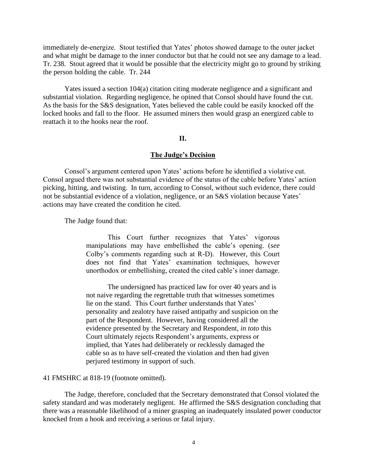immediately de-energize. Stout testified that Yates' photos showed damage to the outer jacket and what might be damage to the inner conductor but that he could not see any damage to a lead. Tr. 238. Stout agreed that it would be possible that the electricity might go to ground by striking the person holding the cable. Tr. 244

Yates issued a section 104(a) citation citing moderate negligence and a significant and substantial violation. Regarding negligence, he opined that Consol should have found the cut. As the basis for the S&S designation, Yates believed the cable could be easily knocked off the locked hooks and fall to the floor. He assumed miners then would grasp an energized cable to reattach it to the hooks near the roof.

## **II.**

#### **The Judge's Decision**

Consol's argument centered upon Yates' actions before he identified a violative cut. Consol argued there was not substantial evidence of the status of the cable before Yates' action picking, hitting, and twisting. In turn, according to Consol, without such evidence, there could not be substantial evidence of a violation, negligence, or an S&S violation because Yates' actions may have created the condition he cited.

The Judge found that:

This Court further recognizes that Yates' vigorous manipulations may have embellished the cable's opening. (*see* Colby's comments regarding such at R-D). However, this Court does not find that Yates' examination techniques, however unorthodox or embellishing, created the cited cable's inner damage.

The undersigned has practiced law for over 40 years and is not naive regarding the regrettable truth that witnesses sometimes lie on the stand. This Court further understands that Yates' personality and zealotry have raised antipathy and suspicion on the part of the Respondent. However, having considered all the evidence presented by the Secretary and Respondent, *in toto* this Court ultimately rejects Respondent's arguments, express or implied, that Yates had deliberately or recklessly damaged the cable so as to have self-created the violation and then had given perjured testimony in support of such.

#### 41 FMSHRC at 818-19 (footnote omitted).

The Judge, therefore, concluded that the Secretary demonstrated that Consol violated the safety standard and was moderately negligent. He affirmed the S&S designation concluding that there was a reasonable likelihood of a miner grasping an inadequately insulated power conductor knocked from a hook and receiving a serious or fatal injury.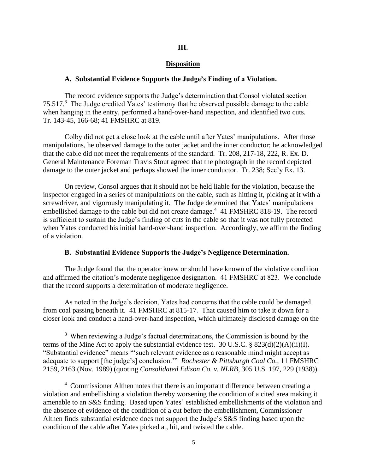## **III.**

#### **Disposition**

#### **A. Substantial Evidence Supports the Judge's Finding of a Violation.**

The record evidence supports the Judge's determination that Consol violated section 75.517.<sup>3</sup> The Judge credited Yates' testimony that he observed possible damage to the cable when hanging in the entry, performed a hand-over-hand inspection, and identified two cuts. Tr. 143-45, 166-68; 41 FMSHRC at 819.

Colby did not get a close look at the cable until after Yates' manipulations. After those manipulations, he observed damage to the outer jacket and the inner conductor; he acknowledged that the cable did not meet the requirements of the standard. Tr. 208, 217-18, 222, R. Ex. D. General Maintenance Foreman Travis Stout agreed that the photograph in the record depicted damage to the outer jacket and perhaps showed the inner conductor. Tr. 238; Sec'y Ex. 13.

On review, Consol argues that it should not be held liable for the violation, because the inspector engaged in a series of manipulations on the cable, such as hitting it, picking at it with a screwdriver, and vigorously manipulating it. The Judge determined that Yates' manipulations embellished damage to the cable but did not create damage.<sup>4</sup> 41 FMSHRC 818-19. The record is sufficient to sustain the Judge's finding of cuts in the cable so that it was not fully protected when Yates conducted his initial hand-over-hand inspection. Accordingly, we affirm the finding of a violation.

#### **B. Substantial Evidence Supports the Judge's Negligence Determination.**

The Judge found that the operator knew or should have known of the violative condition and affirmed the citation's moderate negligence designation. 41 FMSHRC at 823. We conclude that the record supports a determination of moderate negligence.

As noted in the Judge's decision, Yates had concerns that the cable could be damaged from coal passing beneath it. 41 FMSHRC at 815-17. That caused him to take it down for a closer look and conduct a hand-over-hand inspection, which ultimately disclosed damage on the

<sup>&</sup>lt;sup>3</sup> When reviewing a Judge's factual determinations, the Commission is bound by the terms of the Mine Act to apply the substantial evidence test. 30 U.S.C. §  $823(d)(2)(A)(ii)(I)$ . "Substantial evidence" means "'such relevant evidence as a reasonable mind might accept as adequate to support [the judge's] conclusion.'" *Rochester & Pittsburgh Coal Co.*, 11 FMSHRC 2159, 2163 (Nov. 1989) (quoting *Consolidated Edison Co. v. NLRB*, 305 U.S. 197, 229 (1938)).

<sup>&</sup>lt;sup>4</sup> Commissioner Althen notes that there is an important difference between creating a violation and embellishing a violation thereby worsening the condition of a cited area making it amenable to an S&S finding. Based upon Yates' established embellishments of the violation and the absence of evidence of the condition of a cut before the embellishment, Commissioner Althen finds substantial evidence does not support the Judge's S&S finding based upon the condition of the cable after Yates picked at, hit, and twisted the cable.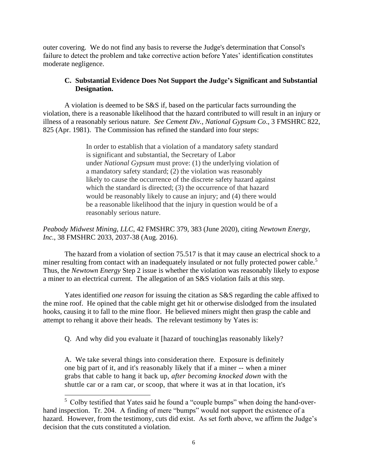outer covering. We do not find any basis to reverse the Judge's determination that Consol's failure to detect the problem and take corrective action before Yates' identification constitutes moderate negligence.

# **C. Substantial Evidence Does Not Support the Judge's Significant and Substantial Designation.**

A violation is deemed to be S&S if, based on the particular facts surrounding the violation, there is a reasonable likelihood that the hazard contributed to will result in an injury or illness of a reasonably serious nature. *See Cement Div., National Gypsum Co*., 3 FMSHRC 822, 825 (Apr. 1981). The Commission has refined the standard into four steps:

> In order to establish that a violation of a mandatory safety standard is significant and substantial, the Secretary of Labor under *National Gypsum* must prove: (1) the underlying violation of a mandatory safety standard; (2) the violation was reasonably likely to cause the occurrence of the discrete safety hazard against which the standard is directed; (3) the occurrence of that hazard would be reasonably likely to cause an injury; and (4) there would be a reasonable likelihood that the injury in question would be of a reasonably serious nature.

*Peabody Midwest Mining, LLC*, 42 FMSHRC 379, 383 (June 2020), citing *Newtown Energy, Inc.*, 38 FMSHRC 2033, 2037-38 (Aug. 2016).

The hazard from a violation of section 75.517 is that it may cause an electrical shock to a miner resulting from contact with an inadequately insulated or not fully protected power cable.<sup>5</sup> Thus, the *Newtown Energy* Step 2 issue is whether the violation was reasonably likely to expose a miner to an electrical current. The allegation of an S&S violation fails at this step.

Yates identified *one reason* for issuing the citation as S&S regarding the cable affixed to the mine roof. He opined that the cable might get hit or otherwise dislodged from the insulated hooks, causing it to fall to the mine floor. He believed miners might then grasp the cable and attempt to rehang it above their heads. The relevant testimony by Yates is:

Q. And why did you evaluate it [hazard of touching]as reasonably likely?

A. We take several things into consideration there. Exposure is definitely one big part of it, and it's reasonably likely that if a miner -- when a miner grabs that cable to hang it back up, *after becoming knocked down* with the shuttle car or a ram car, or scoop, that where it was at in that location, it's

<sup>&</sup>lt;sup>5</sup> Colby testified that Yates said he found a "couple bumps" when doing the hand-overhand inspection. Tr. 204. A finding of mere "bumps" would not support the existence of a hazard. However, from the testimony, cuts did exist. As set forth above, we affirm the Judge's decision that the cuts constituted a violation.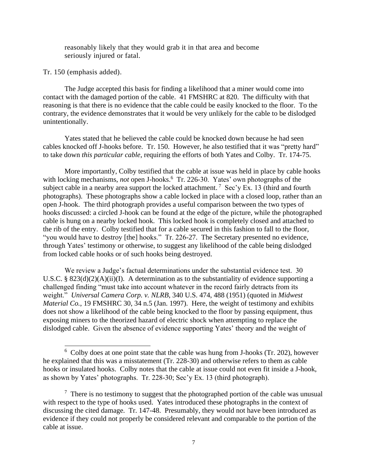reasonably likely that they would grab it in that area and become seriously injured or fatal.

Tr. 150 (emphasis added).

The Judge accepted this basis for finding a likelihood that a miner would come into contact with the damaged portion of the cable. 41 FMSHRC at 820. The difficulty with that reasoning is that there is no evidence that the cable could be easily knocked to the floor. To the contrary, the evidence demonstrates that it would be very unlikely for the cable to be dislodged unintentionally.

Yates stated that he believed the cable could be knocked down because he had seen cables knocked off J-hooks before. Tr. 150. However, he also testified that it was "pretty hard" to take down *this particular cable*, requiring the efforts of both Yates and Colby. Tr. 174-75.

More importantly, Colby testified that the cable at issue was held in place by cable hooks with locking mechanisms, *not* open J-hooks.<sup>6</sup> Tr. 226-30. Yates' own photographs of the subject cable in a nearby area support the locked attachment.<sup>7</sup> Sec'y Ex. 13 (third and fourth photographs). These photographs show a cable locked in place with a closed loop, rather than an open J-hook. The third photograph provides a useful comparison between the two types of hooks discussed: a circled J-hook can be found at the edge of the picture, while the photographed cable is hung on a nearby locked hook. This locked hook is completely closed and attached to the rib of the entry. Colby testified that for a cable secured in this fashion to fall to the floor, "you would have to destroy [the] hooks." Tr. 226-27. The Secretary presented no evidence, through Yates' testimony or otherwise, to suggest any likelihood of the cable being dislodged from locked cable hooks or of such hooks being destroyed.

We review a Judge's factual determinations under the substantial evidence test. 30 U.S.C. § 823(d)(2)(A)(ii)(I). A determination as to the substantiality of evidence supporting a challenged finding "must take into account whatever in the record fairly detracts from its weight." *Universal Camera Corp. v. NLRB*, 340 U.S. 474, 488 (1951) (quoted in *Midwest Material Co.*, 19 FMSHRC 30, 34 n.5 (Jan. 1997). Here, the weight of testimony and exhibits does not show a likelihood of the cable being knocked to the floor by passing equipment, thus exposing miners to the theorized hazard of electric shock when attempting to replace the dislodged cable. Given the absence of evidence supporting Yates' theory and the weight of

<sup>&</sup>lt;sup>6</sup> Colby does at one point state that the cable was hung from J-hooks (Tr. 202), however he explained that this was a misstatement (Tr. 228-30) and otherwise refers to them as cable hooks or insulated hooks. Colby notes that the cable at issue could not even fit inside a J-hook, as shown by Yates' photographs. Tr. 228-30; Sec'y Ex. 13 (third photograph).

 $7$  There is no testimony to suggest that the photographed portion of the cable was unusual with respect to the type of hooks used. Yates introduced these photographs in the context of discussing the cited damage. Tr. 147-48. Presumably, they would not have been introduced as evidence if they could not properly be considered relevant and comparable to the portion of the cable at issue.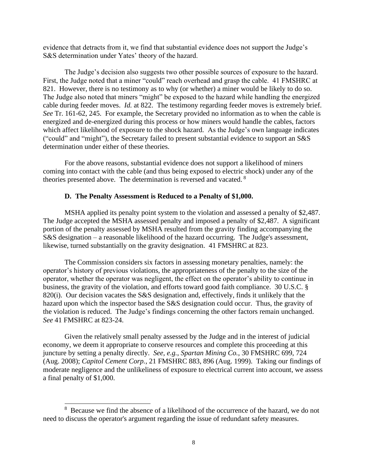evidence that detracts from it, we find that substantial evidence does not support the Judge's S&S determination under Yates' theory of the hazard.

The Judge's decision also suggests two other possible sources of exposure to the hazard. First, the Judge noted that a miner "could" reach overhead and grasp the cable. 41 FMSHRC at 821. However, there is no testimony as to why (or whether) a miner would be likely to do so. The Judge also noted that miners "might" be exposed to the hazard while handling the energized cable during feeder moves. *Id.* at 822. The testimony regarding feeder moves is extremely brief. *See* Tr. 161-62, 245. For example, the Secretary provided no information as to when the cable is energized and de-energized during this process or how miners would handle the cables, factors which affect likelihood of exposure to the shock hazard. As the Judge's own language indicates ("could" and "might"), the Secretary failed to present substantial evidence to support an S&S determination under either of these theories.

For the above reasons, substantial evidence does not support a likelihood of miners coming into contact with the cable (and thus being exposed to electric shock) under any of the theories presented above. The determination is reversed and vacated. <sup>8</sup>

#### **D. The Penalty Assessment is Reduced to a Penalty of \$1,000.**

MSHA applied its penalty point system to the violation and assessed a penalty of \$2,487. The Judge accepted the MSHA assessed penalty and imposed a penalty of \$2,487. A significant portion of the penalty assessed by MSHA resulted from the gravity finding accompanying the S&S designation – a reasonable likelihood of the hazard occurring. The Judge's assessment, likewise, turned substantially on the gravity designation. 41 FMSHRC at 823.

The Commission considers six factors in assessing monetary penalties, namely: the operator's history of previous violations, the appropriateness of the penalty to the size of the operator, whether the operator was negligent, the effect on the operator's ability to continue in business, the gravity of the violation, and efforts toward good faith compliance. 30 U.S.C. § 820(i). Our decision vacates the S&S designation and, effectively, finds it unlikely that the hazard upon which the inspector based the S&S designation could occur. Thus, the gravity of the violation is reduced. The Judge's findings concerning the other factors remain unchanged. *See* 41 FMSHRC at 823-24.

Given the relatively small penalty assessed by the Judge and in the interest of judicial economy, we deem it appropriate to conserve resources and complete this proceeding at this juncture by setting a penalty directly. *See, e.g.*, *Spartan Mining Co.*, 30 FMSHRC 699, 724 (Aug. 2008); *Capitol Cement Corp.*, 21 FMSHRC 883, 896 (Aug. 1999). Taking our findings of moderate negligence and the unlikeliness of exposure to electrical current into account, we assess a final penalty of \$1,000.

<sup>&</sup>lt;sup>8</sup> Because we find the absence of a likelihood of the occurrence of the hazard, we do not need to discuss the operator's argument regarding the issue of redundant safety measures.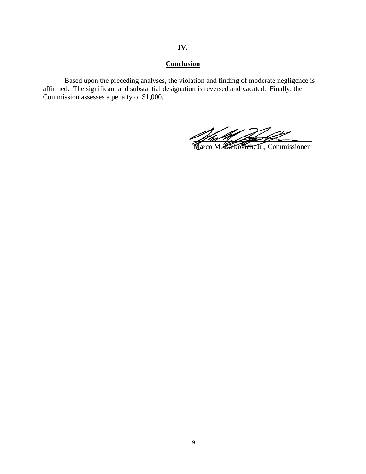# **IV.**

# **Conclusion**

Based upon the preceding analyses, the violation and finding of moderate negligence is affirmed. The significant and substantial designation is reversed and vacated. Finally, the Commission assesses a penalty of \$1,000.

 $\frac{1}{2}$  for  $\frac{1}{2}$  , the set of  $\frac{1}{2}$ 

Marco M. Kajkovich, Jr., Commissioner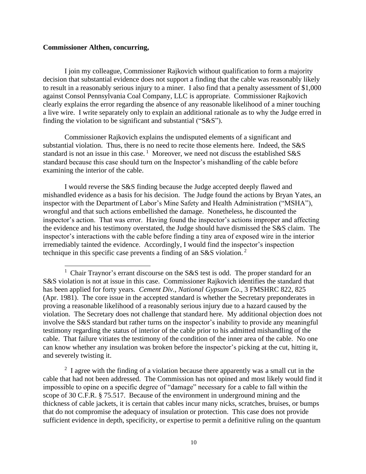## **Commissioner Althen, concurring,**

I join my colleague, Commissioner Rajkovich without qualification to form a majority decision that substantial evidence does not support a finding that the cable was reasonably likely to result in a reasonably serious injury to a miner. I also find that a penalty assessment of \$1,000 against Consol Pennsylvania Coal Company, LLC is appropriate. Commissioner Rajkovich clearly explains the error regarding the absence of any reasonable likelihood of a miner touching a live wire. I write separately only to explain an additional rationale as to why the Judge erred in finding the violation to be significant and substantial ("S&S").

Commissioner Rajkovich explains the undisputed elements of a significant and substantial violation. Thus, there is no need to recite those elements here. Indeed, the S&S standard is not an issue in this case.<sup>1</sup> Moreover, we need not discuss the established  $S&S$ standard because this case should turn on the Inspector's mishandling of the cable before examining the interior of the cable.

I would reverse the S&S finding because the Judge accepted deeply flawed and mishandled evidence as a basis for his decision. The Judge found the actions by Bryan Yates, an inspector with the Department of Labor's Mine Safety and Health Administration ("MSHA"), wrongful and that such actions embellished the damage. Nonetheless, he discounted the inspector's action. That was error. Having found the inspector's actions improper and affecting the evidence and his testimony overstated, the Judge should have dismissed the S&S claim. The inspector's interactions with the cable before finding a tiny area of exposed wire in the interior irremediably tainted the evidence. Accordingly, I would find the inspector's inspection technique in this specific case prevents a finding of an S&S violation.<sup>2</sup>

 $2\,$  I agree with the finding of a violation because there apparently was a small cut in the cable that had not been addressed. The Commission has not opined and most likely would find it impossible to opine on a specific degree of "damage" necessary for a cable to fall within the scope of 30 C.F.R. § 75.517. Because of the environment in underground mining and the thickness of cable jackets, it is certain that cables incur many nicks, scratches, bruises, or bumps that do not compromise the adequacy of insulation or protection. This case does not provide sufficient evidence in depth, specificity, or expertise to permit a definitive ruling on the quantum

<sup>&</sup>lt;sup>1</sup> Chair Traynor's errant discourse on the S&S test is odd. The proper standard for an S&S violation is not at issue in this case. Commissioner Rajkovich identifies the standard that has been applied for forty years. *Cement Div., National Gypsum Co*., 3 FMSHRC 822, 825 (Apr. 1981). The core issue in the accepted standard is whether the Secretary preponderates in proving a reasonable likelihood of a reasonably serious injury due to a hazard caused by the violation. The Secretary does not challenge that standard here. My additional objection does not involve the S&S standard but rather turns on the inspector's inability to provide any meaningful testimony regarding the status of interior of the cable prior to his admitted mishandling of the cable. That failure vitiates the testimony of the condition of the inner area of the cable. No one can know whether any insulation was broken before the inspector's picking at the cut, hitting it, and severely twisting it.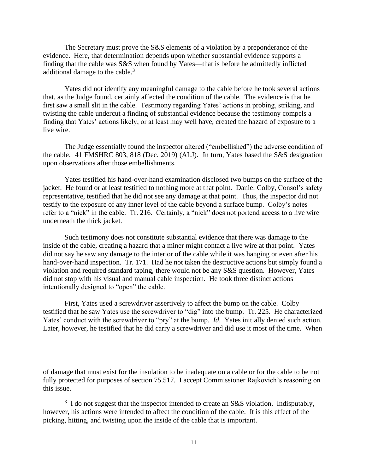The Secretary must prove the S&S elements of a violation by a preponderance of the evidence. Here, that determination depends upon whether substantial evidence supports a finding that the cable was S&S when found by Yates—that is before he admittedly inflicted additional damage to the cable.<sup>3</sup>

Yates did not identify any meaningful damage to the cable before he took several actions that, as the Judge found, certainly affected the condition of the cable. The evidence is that he first saw a small slit in the cable. Testimony regarding Yates' actions in probing, striking, and twisting the cable undercut a finding of substantial evidence because the testimony compels a finding that Yates' actions likely, or at least may well have, created the hazard of exposure to a live wire.

The Judge essentially found the inspector altered ("embellished") the adverse condition of the cable. 41 FMSHRC 803, 818 (Dec. 2019) (ALJ). In turn, Yates based the S&S designation upon observations after those embellishments.

Yates testified his hand-over-hand examination disclosed two bumps on the surface of the jacket. He found or at least testified to nothing more at that point. Daniel Colby, Consol's safety representative, testified that he did not see any damage at that point. Thus, the inspector did not testify to the exposure of any inner level of the cable beyond a surface bump. Colby's notes refer to a "nick" in the cable. Tr. 216. Certainly, a "nick" does not portend access to a live wire underneath the thick jacket.

Such testimony does not constitute substantial evidence that there was damage to the inside of the cable, creating a hazard that a miner might contact a live wire at that point. Yates did not say he saw any damage to the interior of the cable while it was hanging or even after his hand-over-hand inspection. Tr. 171. Had he not taken the destructive actions but simply found a violation and required standard taping, there would not be any S&S question. However, Yates did not stop with his visual and manual cable inspection. He took three distinct actions intentionally designed to "open" the cable.

First, Yates used a screwdriver assertively to affect the bump on the cable. Colby testified that he saw Yates use the screwdriver to "dig" into the bump. Tr. 225. He characterized Yates' conduct with the screwdriver to "pry" at the bump. *Id.* Yates initially denied such action. Later, however, he testified that he did carry a screwdriver and did use it most of the time. When

of damage that must exist for the insulation to be inadequate on a cable or for the cable to be not fully protected for purposes of section 75.517. I accept Commissioner Rajkovich's reasoning on this issue.

 $3\,$  I do not suggest that the inspector intended to create an S&S violation. Indisputably, however, his actions were intended to affect the condition of the cable. It is this effect of the picking, hitting, and twisting upon the inside of the cable that is important.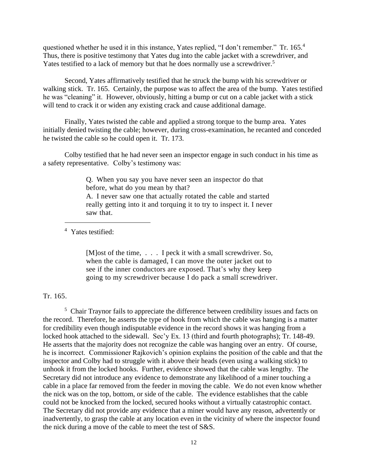questioned whether he used it in this instance, Yates replied, "I don't remember." Tr. 165.<sup>4</sup> Thus, there is positive testimony that Yates dug into the cable jacket with a screwdriver, and Yates testified to a lack of memory but that he does normally use a screwdriver.<sup>5</sup>

Second, Yates affirmatively testified that he struck the bump with his screwdriver or walking stick. Tr. 165. Certainly, the purpose was to affect the area of the bump. Yates testified he was "cleaning" it. However, obviously, hitting a bump or cut on a cable jacket with a stick will tend to crack it or widen any existing crack and cause additional damage.

Finally, Yates twisted the cable and applied a strong torque to the bump area. Yates initially denied twisting the cable; however, during cross-examination, he recanted and conceded he twisted the cable so he could open it. Tr. 173.

Colby testified that he had never seen an inspector engage in such conduct in his time as a safety representative. Colby's testimony was:

> Q. When you say you have never seen an inspector do that before, what do you mean by that? A. I never saw one that actually rotated the cable and started really getting into it and torquing it to try to inspect it. I never saw that.

<sup>4</sup> Yates testified:

[M]ost of the time, . . . I peck it with a small screwdriver. So, when the cable is damaged, I can move the outer jacket out to see if the inner conductors are exposed. That's why they keep going to my screwdriver because I do pack a small screwdriver.

Tr. 165.

<sup>5</sup> Chair Traynor fails to appreciate the difference between credibility issues and facts on the record. Therefore, he asserts the type of hook from which the cable was hanging is a matter for credibility even though indisputable evidence in the record shows it was hanging from a locked hook attached to the sidewall. Sec'y Ex. 13 (third and fourth photographs); Tr. 148-49. He asserts that the majority does not recognize the cable was hanging over an entry. Of course, he is incorrect. Commissioner Rajkovich's opinion explains the position of the cable and that the inspector and Colby had to struggle with it above their heads (even using a walking stick) to unhook it from the locked hooks. Further, evidence showed that the cable was lengthy. The Secretary did not introduce any evidence to demonstrate any likelihood of a miner touching a cable in a place far removed from the feeder in moving the cable. We do not even know whether the nick was on the top, bottom, or side of the cable. The evidence establishes that the cable could not be knocked from the locked, secured hooks without a virtually catastrophic contact. The Secretary did not provide any evidence that a miner would have any reason, advertently or inadvertently, to grasp the cable at any location even in the vicinity of where the inspector found the nick during a move of the cable to meet the test of S&S.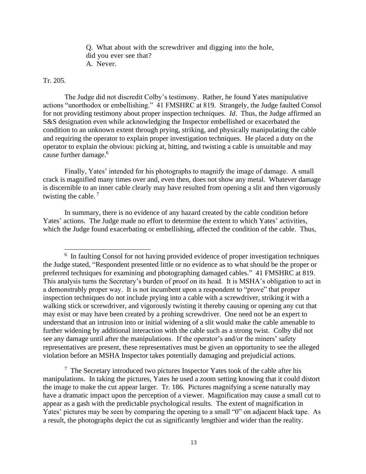Q. What about with the screwdriver and digging into the hole, did you ever see that? A. Never.

## Tr. 205.

The Judge did not discredit Colby's testimony. Rather, he found Yates manipulative actions "unorthodox or embellishing." 41 FMSHRC at 819. Strangely, the Judge faulted Consol for not providing testimony about proper inspection techniques. *Id*. Thus, the Judge affirmed an S&S designation even while acknowledging the Inspector embellished or exacerbated the condition to an unknown extent through prying, striking, and physically manipulating the cable and requiring the operator to explain proper investigation techniques. He placed a duty on the operator to explain the obvious: picking at, hitting, and twisting a cable is unsuitable and may cause further damage.<sup>6</sup>

Finally, Yates' intended for his photographs to magnify the image of damage. A small crack is magnified many times over and, even then, does not show any metal. Whatever damage is discernible to an inner cable clearly may have resulted from opening a slit and then vigorously twisting the cable.<sup>7</sup>

In summary, there is no evidence of any hazard created by the cable condition before Yates' actions. The Judge made no effort to determine the extent to which Yates' activities, which the Judge found exacerbating or embellishing, affected the condition of the cable. Thus,

 $<sup>7</sup>$  The Secretary introduced two pictures Inspector Yates took of the cable after his</sup> manipulations. In taking the pictures, Yates he used a zoom setting knowing that it could distort the image to make the cut appear larger. Tr. 186. Pictures magnifying a scene naturally may have a dramatic impact upon the perception of a viewer. Magnification may cause a small cut to appear as a gash with the predictable psychological results. The extent of magnification in Yates' pictures may be seen by comparing the opening to a small "0" on adjacent black tape. As a result, the photographs depict the cut as significantly lengthier and wider than the reality.

<sup>&</sup>lt;sup>6</sup> In faulting Consol for not having provided evidence of proper investigation techniques the Judge stated, "Respondent presented little or no evidence as to what should be the proper or preferred techniques for examining and photographing damaged cables." 41 FMSHRC at 819. This analysis turns the Secretary's burden of proof on its head. It is MSHA's obligation to act in a demonstrably proper way. It is not incumbent upon a respondent to "prove" that proper inspection techniques do not include prying into a cable with a screwdriver, striking it with a walking stick or screwdriver, and vigorously twisting it thereby causing or opening any cut that may exist or may have been created by a probing screwdriver. One need not be an expert to understand that an intrusion into or initial widening of a slit would make the cable amenable to further widening by additional interaction with the cable such as a strong twist. Colby did not see any damage until after the manipulations. If the operator's and/or the miners' safety representatives are present, these representatives must be given an opportunity to see the alleged violation before an MSHA Inspector takes potentially damaging and prejudicial actions.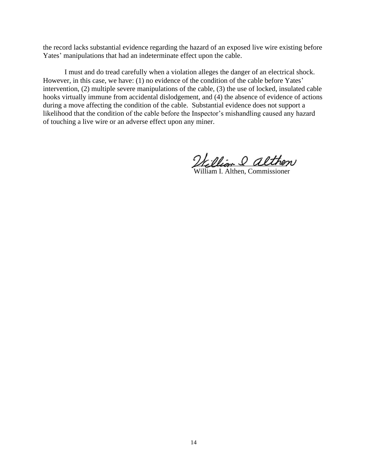the record lacks substantial evidence regarding the hazard of an exposed live wire existing before Yates' manipulations that had an indeterminate effect upon the cable.

I must and do tread carefully when a violation alleges the danger of an electrical shock. However, in this case, we have: (1) no evidence of the condition of the cable before Yates' intervention, (2) multiple severe manipulations of the cable, (3) the use of locked, insulated cable hooks virtually immune from accidental dislodgement, and (4) the absence of evidence of actions during a move affecting the condition of the cable. Substantial evidence does not support a likelihood that the condition of the cable before the Inspector's mishandling caused any hazard of touching a live wire or an adverse effect upon any miner.

William & althen

Althen, Commissioner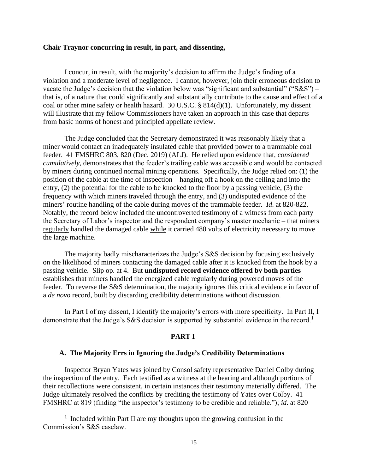## **Chair Traynor concurring in result, in part, and dissenting,**

I concur, in result, with the majority's decision to affirm the Judge's finding of a violation and a moderate level of negligence. I cannot, however, join their erroneous decision to vacate the Judge's decision that the violation below was "significant and substantial" ("S&S") – that is, of a nature that could significantly and substantially contribute to the cause and effect of a coal or other mine safety or health hazard. 30 U.S.C. § 814(d)(1). Unfortunately, my dissent will illustrate that my fellow Commissioners have taken an approach in this case that departs from basic norms of honest and principled appellate review.

The Judge concluded that the Secretary demonstrated it was reasonably likely that a miner would contact an inadequately insulated cable that provided power to a trammable coal feeder. 41 FMSHRC 803, 820 (Dec. 2019) (ALJ). He relied upon evidence that, *considered cumulatively*, demonstrates that the feeder's trailing cable was accessible and would be contacted by miners during continued normal mining operations. Specifically, the Judge relied on: (1) the position of the cable at the time of inspection – hanging off a hook on the ceiling and into the entry, (2) the potential for the cable to be knocked to the floor by a passing vehicle, (3) the frequency with which miners traveled through the entry, and (3) undisputed evidence of the miners' routine handling of the cable during moves of the trammable feeder. *Id*. at 820-822. Notably, the record below included the uncontroverted testimony of a witness from each party – the Secretary of Labor's inspector and the respondent company's master mechanic – that miners regularly handled the damaged cable while it carried 480 volts of electricity necessary to move the large machine.

The majority badly mischaracterizes the Judge's S&S decision by focusing exclusively on the likelihood of miners contacting the damaged cable after it is knocked from the hook by a passing vehicle. Slip op. at 4. But **undisputed record evidence offered by both parties** establishes that miners handled the energized cable regularly during powered moves of the feeder. To reverse the S&S determination, the majority ignores this critical evidence in favor of a *de novo* record, built by discarding credibility determinations without discussion.

In Part I of my dissent, I identify the majority's errors with more specificity. In Part II, I demonstrate that the Judge's S&S decision is supported by substantial evidence in the record.<sup>1</sup>

## **PART I**

#### **A. The Majority Errs in Ignoring the Judge's Credibility Determinations**

Inspector Bryan Yates was joined by Consol safety representative Daniel Colby during the inspection of the entry. Each testified as a witness at the hearing and although portions of their recollections were consistent, in certain instances their testimony materially differed. The Judge ultimately resolved the conflicts by crediting the testimony of Yates over Colby. 41 FMSHRC at 819 (finding "the inspector's testimony to be credible and reliable."); *id*. at 820

<sup>&</sup>lt;sup>1</sup> Included within Part II are my thoughts upon the growing confusion in the Commission's S&S caselaw.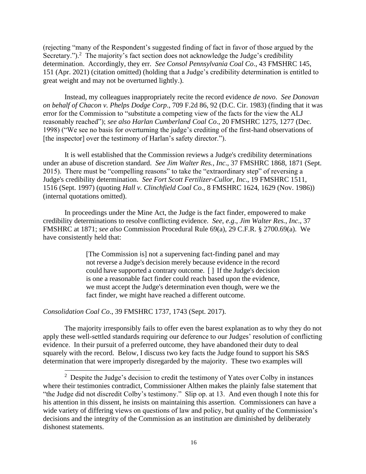(rejecting "many of the Respondent's suggested finding of fact in favor of those argued by the Secretary.").<sup>2</sup> The majority's fact section does not acknowledge the Judge's credibility determination. Accordingly, they err. *See Consol Pennsylvania Coal Co*., 43 FMSHRC 145, 151 (Apr. 2021) (citation omitted) (holding that a Judge's credibility determination is entitled to great weight and may not be overturned lightly.).

Instead, my colleagues inappropriately recite the record evidence *de novo*. *See Donovan on behalf of Chacon v. Phelps Dodge Corp*., 709 F.2d 86, 92 (D.C. Cir. 1983) (finding that it was error for the Commission to "substitute a competing view of the facts for the view the ALJ reasonably reached"); *see also Harlan Cumberland Coal Co*., 20 FMSHRC 1275, 1277 (Dec. 1998) ("We see no basis for overturning the judge's crediting of the first-hand observations of [the inspector] over the testimony of Harlan's safety director.").

It is well established that the Commission reviews a Judge's credibility determinations under an abuse of discretion standard. *See Jim Walter Res., Inc*., 37 FMSHRC 1868, 1871 (Sept. 2015). There must be "compelling reasons" to take the "extraordinary step" of reversing a Judge's credibility determination. *See Fort Scott Fertilizer-Cullor, Inc*., 19 FMSHRC 1511, 1516 (Sept. 1997) (quoting *Hall v. Clinchfield Coal Co*., 8 FMSHRC 1624, 1629 (Nov. 1986)) (internal quotations omitted).

In proceedings under the Mine Act, the Judge is the fact finder, empowered to make credibility determinations to resolve conflicting evidence. *See*, *e.g*., *Jim Walter Res., Inc*., 37 FMSHRC at 1871; *see also* Commission Procedural Rule 69(a), 29 C.F.R. § 2700.69(a). We have consistently held that:

> [The Commission is] not a supervening fact-finding panel and may not reverse a Judge's decision merely because evidence in the record could have supported a contrary outcome. [ ] If the Judge's decision is one a reasonable fact finder could reach based upon the evidence, we must accept the Judge's determination even though, were we the fact finder, we might have reached a different outcome.

*Consolidation Coal Co*., 39 FMSHRC 1737, 1743 (Sept. 2017).

The majority irresponsibly fails to offer even the barest explanation as to why they do not apply these well-settled standards requiring our deference to our Judges' resolution of conflicting evidence. In their pursuit of a preferred outcome, they have abandoned their duty to deal squarely with the record. Below, I discuss two key facts the Judge found to support his S&S determination that were improperly disregarded by the majority. These two examples will

<sup>&</sup>lt;sup>2</sup> Despite the Judge's decision to credit the testimony of Yates over Colby in instances where their testimonies contradict, Commissioner Althen makes the plainly false statement that "the Judge did not discredit Colby's testimony." Slip op. at 13. And even though I note this for his attention in this dissent, he insists on maintaining this assertion. Commissioners can have a wide variety of differing views on questions of law and policy, but quality of the Commission's decisions and the integrity of the Commission as an institution are diminished by deliberately dishonest statements.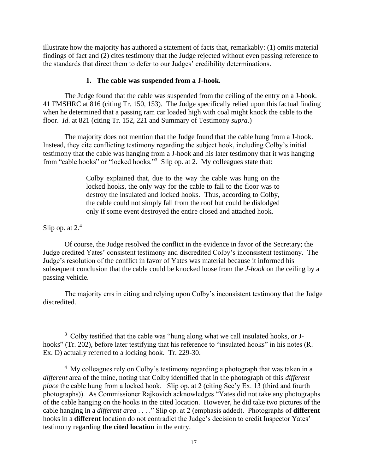illustrate how the majority has authored a statement of facts that, remarkably: (1) omits material findings of fact and (2) cites testimony that the Judge rejected without even passing reference to the standards that direct them to defer to our Judges' credibility determinations.

#### **1. The cable was suspended from a J-hook.**

The Judge found that the cable was suspended from the ceiling of the entry on a J-hook. 41 FMSHRC at 816 (citing Tr. 150, 153). The Judge specifically relied upon this factual finding when he determined that a passing ram car loaded high with coal might knock the cable to the floor. *Id*. at 821 (citing Tr. 152, 221 and Summary of Testimony *supra*.)

The majority does not mention that the Judge found that the cable hung from a J-hook. Instead, they cite conflicting testimony regarding the subject hook, including Colby's initial testimony that the cable was hanging from a J-hook and his later testimony that it was hanging from "cable hooks" or "locked hooks."<sup>3</sup> Slip op. at 2. My colleagues state that:

> Colby explained that, due to the way the cable was hung on the locked hooks, the only way for the cable to fall to the floor was to destroy the insulated and locked hooks. Thus, according to Colby, the cable could not simply fall from the roof but could be dislodged only if some event destroyed the entire closed and attached hook.

Slip op. at  $2<sup>4</sup>$ 

Of course, the Judge resolved the conflict in the evidence in favor of the Secretary; the Judge credited Yates' consistent testimony and discredited Colby's inconsistent testimony. The Judge's resolution of the conflict in favor of Yates was material because it informed his subsequent conclusion that the cable could be knocked loose from the *J-hook* on the ceiling by a passing vehicle.

The majority errs in citing and relying upon Colby's inconsistent testimony that the Judge discredited.

<sup>&</sup>lt;sup>3</sup> Colby testified that the cable was "hung along what we call insulated hooks, or Jhooks" (Tr. 202), before later testifying that his reference to "insulated hooks" in his notes (R. Ex. D) actually referred to a locking hook. Tr. 229-30.

 $4\,$  My colleagues rely on Colby's testimony regarding a photograph that was taken in a *different* area of the mine, noting that Colby identified that in the photograph of this *different place* the cable hung from a locked hook. Slip op. at 2 (citing Sec'y Ex. 13 (third and fourth photographs)). As Commissioner Rajkovich acknowledges "Yates did not take any photographs of the cable hanging on the hooks in the cited location. However, he did take two pictures of the cable hanging in a *different area* . . . ." Slip op. at 2 (emphasis added). Photographs of **different** hooks in a **different** location do not contradict the Judge's decision to credit Inspector Yates' testimony regarding **the cited location** in the entry.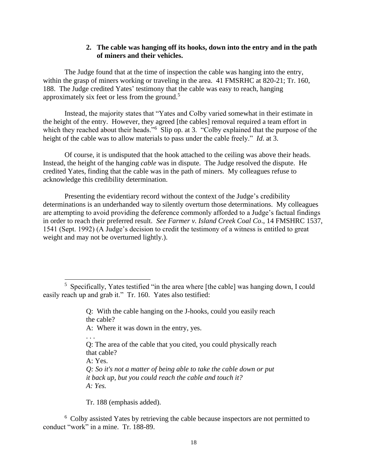## **2. The cable was hanging off its hooks, down into the entry and in the path of miners and their vehicles.**

The Judge found that at the time of inspection the cable was hanging into the entry, within the grasp of miners working or traveling in the area. 41 FMSRHC at 820-21; Tr. 160, 188. The Judge credited Yates' testimony that the cable was easy to reach, hanging approximately six feet or less from the ground.<sup>5</sup>

Instead, the majority states that "Yates and Colby varied somewhat in their estimate in the height of the entry. However, they agreed [the cables] removal required a team effort in which they reached about their heads."<sup>6</sup> Slip op. at 3. "Colby explained that the purpose of the height of the cable was to allow materials to pass under the cable freely." *Id*. at 3.

Of course, it is undisputed that the hook attached to the ceiling was above their heads. Instead, the height of the hanging *cable* was in dispute. The Judge resolved the dispute. He credited Yates, finding that the cable was in the path of miners. My colleagues refuse to acknowledge this credibility determination.

Presenting the evidentiary record without the context of the Judge's credibility determinations is an underhanded way to silently overturn those determinations. My colleagues are attempting to avoid providing the deference commonly afforded to a Judge's factual findings in order to reach their preferred result. *See Farmer v. Island Creek Coal Co*., 14 FMSHRC 1537, 1541 (Sept. 1992) (A Judge's decision to credit the testimony of a witness is entitled to great weight and may not be overturned lightly.).

Q: With the cable hanging on the J-hooks, could you easily reach the cable?

A: Where it was down in the entry, yes.

. . .

- Q: The area of the cable that you cited, you could physically reach that cable?
- A: Yes.
- *Q: So it's not a matter of being able to take the cable down or put it back up, but you could reach the cable and touch it? A: Yes.*

Tr. 188 (emphasis added).

<sup>6</sup> Colby assisted Yates by retrieving the cable because inspectors are not permitted to conduct "work" in a mine. Tr. 188-89.

<sup>&</sup>lt;sup>5</sup> Specifically, Yates testified "in the area where [the cable] was hanging down, I could easily reach up and grab it." Tr. 160. Yates also testified: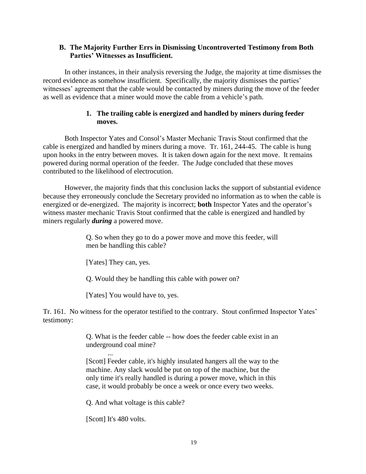## **B. The Majority Further Errs in Dismissing Uncontroverted Testimony from Both Parties' Witnesses as Insufficient.**

In other instances, in their analysis reversing the Judge, the majority at time dismisses the record evidence as somehow insufficient. Specifically, the majority dismisses the parties' witnesses' agreement that the cable would be contacted by miners during the move of the feeder as well as evidence that a miner would move the cable from a vehicle's path.

# **1. The trailing cable is energized and handled by miners during feeder moves.**

Both Inspector Yates and Consol's Master Mechanic Travis Stout confirmed that the cable is energized and handled by miners during a move. Tr. 161, 244-45. The cable is hung upon hooks in the entry between moves. It is taken down again for the next move. It remains powered during normal operation of the feeder. The Judge concluded that these moves contributed to the likelihood of electrocution.

However, the majority finds that this conclusion lacks the support of substantial evidence because they erroneously conclude the Secretary provided no information as to when the cable is energized or de-energized. The majority is incorrect; **both** Inspector Yates and the operator's witness master mechanic Travis Stout confirmed that the cable is energized and handled by miners regularly *during* a powered move.

> Q. So when they go to do a power move and move this feeder, will men be handling this cable?

[Yates] They can, yes.

Q. Would they be handling this cable with power on?

[Yates] You would have to, yes.

Tr. 161. No witness for the operator testified to the contrary. Stout confirmed Inspector Yates' testimony:

> Q. What is the feeder cable -- how does the feeder cable exist in an underground coal mine?

> ... [Scott] Feeder cable, it's highly insulated hangers all the way to the machine. Any slack would be put on top of the machine, but the only time it's really handled is during a power move, which in this case, it would probably be once a week or once every two weeks.

Q. And what voltage is this cable?

[Scott] It's 480 volts.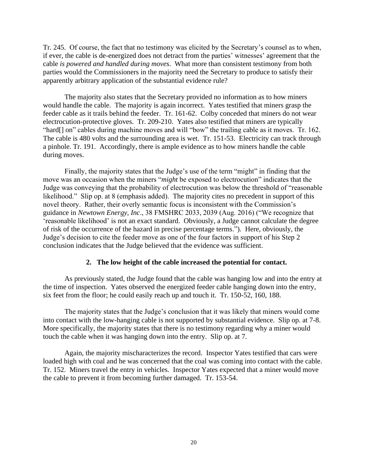Tr. 245. Of course, the fact that no testimony was elicited by the Secretary's counsel as to when, if ever, the cable is de-energized does not detract from the parties' witnesses' agreement that the cable *is powered and handled during moves*. What more than consistent testimony from both parties would the Commissioners in the majority need the Secretary to produce to satisfy their apparently arbitrary application of the substantial evidence rule?

The majority also states that the Secretary provided no information as to how miners would handle the cable. The majority is again incorrect. Yates testified that miners grasp the feeder cable as it trails behind the feeder. Tr. 161-62. Colby conceded that miners do not wear electrocution-protective gloves. Tr. 209-210. Yates also testified that miners are typically "hard[] on" cables during machine moves and will "bow" the trailing cable as it moves. Tr. 162. The cable is 480 volts and the surrounding area is wet. Tr. 151-53. Electricity can track through a pinhole. Tr. 191. Accordingly, there is ample evidence as to how miners handle the cable during moves.

Finally, the majority states that the Judge's use of the term "might" in finding that the move was an occasion when the miners "*might* be exposed to electrocution" indicates that the Judge was conveying that the probability of electrocution was below the threshold of "reasonable likelihood." Slip op. at 8 (emphasis added). The majority cites no precedent in support of this novel theory. Rather, their overly semantic focus is inconsistent with the Commission's guidance in *Newtown Energy, Inc*., 38 FMSHRC 2033, 2039 (Aug. 2016) ("We recognize that 'reasonable likelihood' is not an exact standard. Obviously, a Judge cannot calculate the degree of risk of the occurrence of the hazard in precise percentage terms."). Here, obviously, the Judge's decision to cite the feeder move as one of the four factors in support of his Step 2 conclusion indicates that the Judge believed that the evidence was sufficient.

#### **2. The low height of the cable increased the potential for contact.**

As previously stated, the Judge found that the cable was hanging low and into the entry at the time of inspection. Yates observed the energized feeder cable hanging down into the entry, six feet from the floor; he could easily reach up and touch it. Tr. 150-52, 160, 188.

The majority states that the Judge's conclusion that it was likely that miners would come into contact with the low-hanging cable is not supported by substantial evidence. Slip op. at 7-8. More specifically, the majority states that there is no testimony regarding why a miner would touch the cable when it was hanging down into the entry. Slip op. at 7.

Again, the majority mischaracterizes the record. Inspector Yates testified that cars were loaded high with coal and he was concerned that the coal was coming into contact with the cable. Tr. 152. Miners travel the entry in vehicles. Inspector Yates expected that a miner would move the cable to prevent it from becoming further damaged. Tr. 153-54.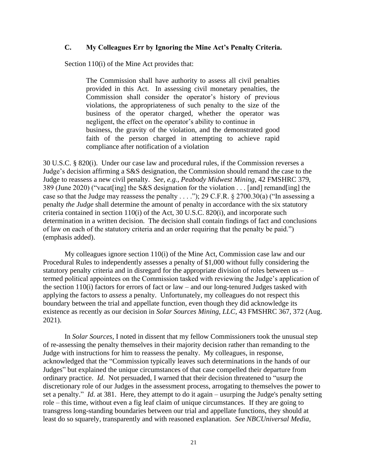## **C. My Colleagues Err by Ignoring the Mine Act's Penalty Criteria.**

Section 110(i) of the Mine Act provides that:

The Commission shall have authority to assess all civil penalties provided in this Act. In assessing civil monetary penalties, the Commission shall consider the operator's history of previous violations, the appropriateness of such penalty to the size of the business of the operator charged, whether the operator was negligent, the effect on the operator's ability to continue in business, the gravity of the violation, and the demonstrated good faith of the person charged in attempting to achieve rapid compliance after notification of a violation

30 U.S.C. § 820(i). Under our case law and procedural rules, if the Commission reverses a Judge's decision affirming a S&S designation, the Commission should remand the case to the Judge to reassess a new civil penalty. *See, e.g., Peabody Midwest Mining*, 42 FMSHRC 379, 389 (June 2020) ("vacat[ing] the S&S designation for the violation . . . [and] remand[ing] the case so that the Judge may reassess the penalty . . . ."); 29 C.F.R.  $\S 2700.30(a)$  ("In assessing a penalty *the Judge* shall determine the amount of penalty in accordance with the six statutory criteria contained in section 110(i) of the Act, 30 U.S.C. 820(i), and incorporate such determination in a written decision. The decision shall contain findings of fact and conclusions of law on each of the statutory criteria and an order requiring that the penalty be paid.") (emphasis added).

My colleagues ignore section 110(i) of the Mine Act, Commission case law and our Procedural Rules to independently assesses a penalty of \$1,000 without fully considering the statutory penalty criteria and in disregard for the appropriate division of roles between us – termed political appointees on the Commission tasked with reviewing the Judge's application of the section  $110(i)$  factors for errors of fact or law – and our long-tenured Judges tasked with applying the factors to *assess* a penalty. Unfortunately, my colleagues do not respect this boundary between the trial and appellate function, even though they did acknowledge its existence as recently as our decision in *Solar Sources Mining, LLC*, 43 FMSHRC 367, 372 (Aug. 2021).

In *Solar Sources*, I noted in dissent that my fellow Commissioners took the unusual step of re-assessing the penalty themselves in their majority decision rather than remanding to the Judge with instructions for him to reassess the penalty. My colleagues, in response, acknowledged that the "Commission typically leaves such determinations in the hands of our Judges" but explained the unique circumstances of that case compelled their departure from ordinary practice. *Id*. Not persuaded, I warned that their decision threatened to "usurp the discretionary role of our Judges in the assessment process, arrogating to themselves the power to set a penalty." *Id*. at 381. Here, they attempt to do it again – usurping the Judge's penalty setting role – this time, without even a fig leaf claim of unique circumstances. If they are going to transgress long-standing boundaries between our trial and appellate functions, they should at least do so squarely, transparently and with reasoned explanation. *See NBCUniversal Media,*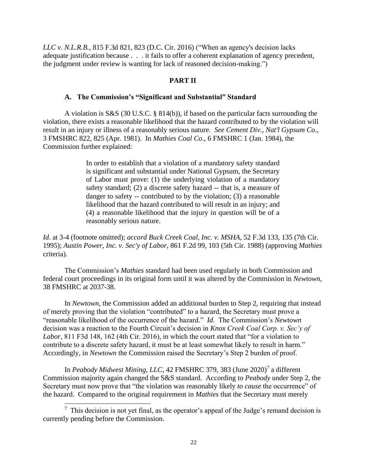*LLC v. N.L.R.B.*, 815 F.3d 821, 823 (D.C. Cir. 2016) ("When an agency's decision lacks adequate justification because . . . it fails to offer a coherent explanation of agency precedent, the judgment under review is wanting for lack of reasoned decision-making.")

## **PART II**

#### **A. The Commission's "Significant and Substantial" Standard**

A violation is S&S (30 U.S.C. § 814(b)), if based on the particular facts surrounding the violation, there exists a reasonable likelihood that the hazard contributed to by the violation will result in an injury or illness of a reasonably serious nature. *See Cement Div., Nat'l Gypsum Co*., 3 FMSHRC 822, 825 (Apr. 1981). In *Mathies Coal Co*., 6 FMSHRC 1 (Jan. 1984), the Commission further explained:

> In order to establish that a violation of a mandatory safety standard is significant and substantial under National Gypsum, the Secretary of Labor must prove: (1) the underlying violation of a mandatory safety standard; (2) a discrete safety hazard -- that is, a measure of danger to safety -- contributed to by the violation; (3) a reasonable likelihood that the hazard contributed to will result in an injury; and (4) a reasonable likelihood that the injury in question will be of a reasonably serious nature.

*Id*. at 3-4 (footnote omitted); *accord Buck Creek Coal, Inc. v. MSHA*, 52 F.3d 133, 135 (7th Cir. 1995); *Austin Power, Inc. v. Sec'y of Labor*, 861 F.2d 99, 103 (5th Cir. 1988) (approving *Mathies* criteria).

The Commission's *Mathies* standard had been used regularly in both Commission and federal court proceedings in its original form until it was altered by the Commission in *Newtown,*  38 FMSHRC at 2037-38.

In *Newtown,* the Commission added an additional burden to Step 2, requiring that instead of merely proving that the violation "contributed" to a hazard, the Secretary must prove a "reasonable likelihood of the occurrence of the hazard." *Id*. The Commission's *Newtown* decision was a reaction to the Fourth Circuit's decision in *Knox Creek Coal Corp. v. Sec'y of Labor*, 811 F3d 148, 162 (4th Cir. 2016), in which the court stated that "for a violation to contribute to a discrete safety hazard, it must be at least somewhat likely to result in harm." Accordingly, in *Newtown* the Commission raised the Secretary's Step 2 burden of proof.

In *Peabody Midwest Mining, LLC*, 42 FMSHRC 379, 383 (June 2020)<sup>7</sup> a different Commission majority again changed the S&S standard. According to *Peabody* under Step 2, the Secretary must now prove that "the violation was reasonably likely *to cause* the occurrence" of the hazard. Compared to the original requirement in *Mathies* that the Secretary must merely

 $<sup>7</sup>$  This decision is not yet final, as the operator's appeal of the Judge's remand decision is</sup> currently pending before the Commission.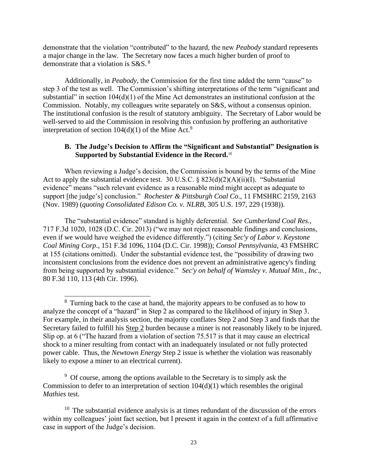demonstrate that the violation "contributed" to the hazard, the new *Peabody* standard represents a major change in the law. The Secretary now faces a much higher burden of proof to demonstrate that a violation is S&S.<sup>8</sup>

Additionally, in *Peabody,* the Commission for the first time added the term "cause" to step 3 of the test as well. The Commission's shifting interpretations of the term "significant and substantial" in section 104(d)(1) of the Mine Act demonstrates an institutional confusion at the Commission. Notably, my colleagues write separately on S&S, without a consensus opinion. The institutional confusion is the result of statutory ambiguity. The Secretary of Labor would be well-served to aid the Commission in resolving this confusion by proffering an authoritative interpretation of section  $104(d)(1)$  of the Mine Act.<sup>9</sup>

## **B. The Judge's Decision to Affirm the "Significant and Substantial" Designation is Supported by Substantial Evidence in the Record.**<sup>10</sup>

When reviewing a Judge's decision, the Commission is bound by the terms of the Mine Act to apply the substantial evidence test. 30 U.S.C.  $\&$  823(d)(2)(A)(ii)(I). "Substantial evidence" means "such relevant evidence as a reasonable mind might accept as adequate to support [the judge's] conclusion." *Rochester & Pittsburgh Coal Co*., 11 FMSHRC 2159, 2163 (Nov. 1989) (*quoting Consolidated Edison Co. v. NLRB*, 305 U.S. 197, 229 (1938)).

The "substantial evidence" standard is highly deferential. *See Cumberland Coal Res.,*  717 F.3d 1020, 1028 (D.C. Cir. 2013) ("we may not reject reasonable findings and conclusions, even if we would have weighed the evidence differently.") (citing *Sec'y of Labor v. Keystone Coal Mining Corp*., 151 F.3d 1096, 1104 (D.C. Cir. 1998)); *Consol Pennsylvania*, 43 FMSHRC at 155 (citations omitted). Under the substantial evidence test, the "possibility of drawing two inconsistent conclusions from the evidence does not prevent an administrative agency's finding from being supported by substantial evidence." *Sec'y on behalf of Wamsley v. Mutual Min., Inc*., 80 F.3d 110, 113 (4th Cir. 1996).

<sup>9</sup> Of course, among the options available to the Secretary is to simply ask the Commission to defer to an interpretation of section 104(d)(1) which resembles the original *Mathies* test.

<sup>&</sup>lt;sup>8</sup> Turning back to the case at hand, the majority appears to be confused as to how to analyze the concept of a "hazard" in Step 2 as compared to the likelihood of injury in Step 3. For example, in their analysis section, the majority conflates Step 2 and Step 3 and finds that the Secretary failed to fulfill his Step 2 burden because a miner is not reasonably likely to be injured. Slip op. at 6 ("The hazard from a violation of section 75.517 is that it may cause an electrical shock to a miner resulting from contact with an inadequately insulated or not fully protected power cable. Thus, the *Newtown Energy* Step 2 issue is whether the violation was reasonably likely to expose a miner to an electrical current).

 $10$  The substantial evidence analysis is at times redundant of the discussion of the errors within my colleagues' joint fact section, but I present it again in the context of a full affirmative case in support of the Judge's decision.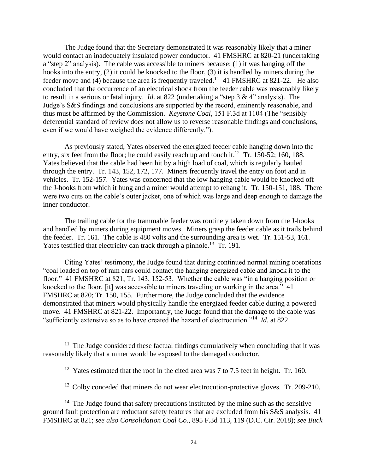The Judge found that the Secretary demonstrated it was reasonably likely that a miner would contact an inadequately insulated power conductor. 41 FMSHRC at 820-21 (undertaking a "step 2" analysis). The cable was accessible to miners because: (1) it was hanging off the hooks into the entry, (2) it could be knocked to the floor, (3) it is handled by miners during the feeder move and (4) because the area is frequently traveled.<sup>11</sup> 41 FMSHRC at 821-22. He also concluded that the occurrence of an electrical shock from the feeder cable was reasonably likely to result in a serious or fatal injury. *Id*. at 822 (undertaking a "step 3 & 4" analysis). The Judge's S&S findings and conclusions are supported by the record, eminently reasonable, and thus must be affirmed by the Commission. *Keystone Coal,* 151 F.3d at 1104 (The "sensibly deferential standard of review does not allow us to reverse reasonable findings and conclusions, even if we would have weighed the evidence differently.").

As previously stated, Yates observed the energized feeder cable hanging down into the entry, six feet from the floor; he could easily reach up and touch it.<sup>12</sup> Tr. 150-52; 160, 188. Yates believed that the cable had been hit by a high load of coal, which is regularly hauled through the entry. Tr. 143, 152, 172, 177. Miners frequently travel the entry on foot and in vehicles. Tr. 152-157. Yates was concerned that the low hanging cable would be knocked off the J-hooks from which it hung and a miner would attempt to rehang it. Tr. 150-151, 188. There were two cuts on the cable's outer jacket, one of which was large and deep enough to damage the inner conductor.

The trailing cable for the trammable feeder was routinely taken down from the J-hooks and handled by miners during equipment moves. Miners grasp the feeder cable as it trails behind the feeder. Tr. 161. The cable is 480 volts and the surrounding area is wet. Tr. 151-53, 161. Yates testified that electricity can track through a pinhole.<sup>13</sup> Tr. 191.

Citing Yates' testimony, the Judge found that during continued normal mining operations "coal loaded on top of ram cars could contact the hanging energized cable and knock it to the floor." 41 FMSHRC at 821; Tr. 143, 152-53. Whether the cable was "in a hanging position or knocked to the floor, [it] was accessible to miners traveling or working in the area." 41 FMSHRC at 820; Tr. 150, 155. Furthermore, the Judge concluded that the evidence demonstrated that miners would physically handle the energized feeder cable during a powered move. 41 FMSHRC at 821-22. Importantly, the Judge found that the damage to the cable was "sufficiently extensive so as to have created the hazard of electrocution."<sup>14</sup> *Id*. at 822.

<sup>13</sup> Colby conceded that miners do not wear electrocution-protective gloves. Tr. 209-210.

 $11$  The Judge considered these factual findings cumulatively when concluding that it was reasonably likely that a miner would be exposed to the damaged conductor.

<sup>&</sup>lt;sup>12</sup> Yates estimated that the roof in the cited area was  $7$  to  $7.5$  feet in height. Tr. 160.

 $14$  The Judge found that safety precautions instituted by the mine such as the sensitive ground fault protection are reductant safety features that are excluded from his S&S analysis. 41 FMSHRC at 821; *see also Consolidation Coal Co.*, 895 F.3d 113, 119 (D.C. Cir. 2018); *see Buck*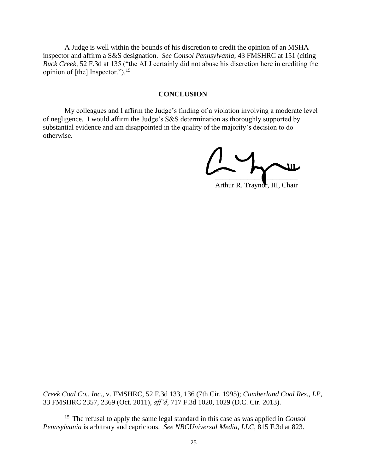A Judge is well within the bounds of his discretion to credit the opinion of an MSHA inspector and affirm a S&S designation. *See Consol Pennsylvania,* 43 FMSHRC at 151 (citing *Buck Creek,* 52 F.3d at 135 ("the ALJ certainly did not abuse his discretion here in crediting the opinion of [the] Inspector."). $15$ 

#### **CONCLUSION**

My colleagues and I affirm the Judge's finding of a violation involving a moderate level of negligence. I would affirm the Judge's S&S determination as thoroughly supported by substantial evidence and am disappointed in the quality of the majority's decision to do otherwise.

\_  $\overline{\phantom{a}}$  , where  $\overline{\phantom{a}}$ 

Arthur R. Traynor, III, Chair

*Creek Coal Co., Inc*., v. FMSHRC, 52 F.3d 133, 136 (7th Cir. 1995); *Cumberland Coal Res., LP*, 33 FMSHRC 2357, 2369 (Oct. 2011), *aff'd*, 717 F.3d 1020, 1029 (D.C. Cir. 2013).

<sup>15</sup> The refusal to apply the same legal standard in this case as was applied in *Consol Pennsylvania* is arbitrary and capricious. *See NBCUniversal Media, LLC*, 815 F.3d at 823.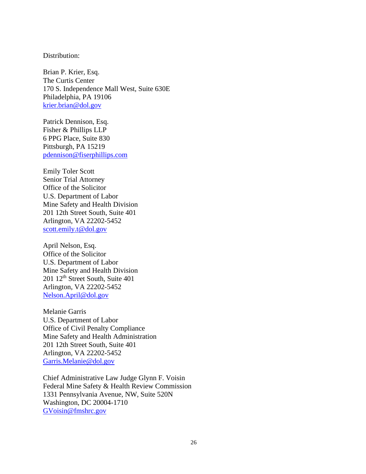#### Distribution:

Brian P. Krier, Esq. The Curtis Center 170 S. Independence Mall West, Suite 630E Philadelphia, PA 19106 [krier.brian@dol.gov](mailto:krier.brian@dol.gov)

Patrick Dennison, Esq. Fisher & Phillips LLP 6 PPG Place, Suite 830 Pittsburgh, PA 15219 [pdennison@fiserphillips.com](mailto:pdennison@fiserphillips.com)

Emily Toler Scott Senior Trial Attorney Office of the Solicitor U.S. Department of Labor Mine Safety and Health Division 201 12th Street South, Suite 401 Arlington, VA 22202-5452 [scott.emily.t@dol.gov](mailto:scott.emily.t@dol.gov)

April Nelson, Esq. Office of the Solicitor U.S. Department of Labor Mine Safety and Health Division 201 12th Street South, Suite 401 Arlington, VA 22202-5452 [Nelson.April@dol.gov](mailto:Nelson.April@dol.gov)

Melanie Garris U.S. Department of Labor Office of Civil Penalty Compliance Mine Safety and Health Administration 201 12th Street South, Suite 401 Arlington, VA 22202-5452 [Garris.Melanie@dol.gov](mailto:Garris.Melanie@dol.gov)

Chief Administrative Law Judge Glynn F. Voisin Federal Mine Safety & Health Review Commission 1331 Pennsylvania Avenue, NW, Suite 520N Washington, DC 20004-1710 [GVoisin@fmshrc.gov](mailto:GVoisin@fmshrc.gov)